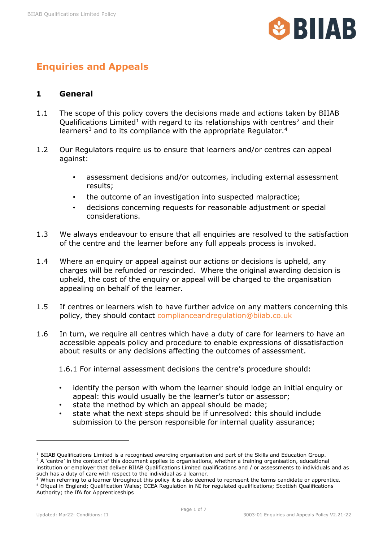

# **Enquiries and Appeals**

## **1 General**

- 1.1 The scope of this policy covers the decisions made and actions taken by BIIAB Qualifications Limited<sup>[1](#page-0-0)</sup> with regard to its relationships with centres<sup>[2](#page-0-1)</sup> and their learners<sup>[3](#page-0-2)</sup> and to its compliance with the appropriate Regulator.<sup>4</sup>
- 1.2 Our Regulators require us to ensure that learners and/or centres can appeal against:
	- assessment decisions and/or outcomes, including external assessment results;
	- the outcome of an investigation into suspected malpractice;
	- decisions concerning requests for reasonable adjustment or special considerations.
- 1.3 We always endeavour to ensure that all enquiries are resolved to the satisfaction of the centre and the learner before any full appeals process is invoked.
- 1.4 Where an enquiry or appeal against our actions or decisions is upheld, any charges will be refunded or rescinded. Where the original awarding decision is upheld, the cost of the enquiry or appeal will be charged to the organisation appealing on behalf of the learner.
- 1.5 If centres or learners wish to have further advice on any matters concerning this policy, they should contact [complianceandregulation@biiab.co.uk](mailto:complianceandregulation@biiab.co.uk)
- 1.6 In turn, we require all centres which have a duty of care for learners to have an accessible appeals policy and procedure to enable expressions of dissatisfaction about results or any decisions affecting the outcomes of assessment.

1.6.1 For internal assessment decisions the centre's procedure should:

- identify the person with whom the learner should lodge an initial enquiry or appeal: this would usually be the learner's tutor or assessor;
- state the method by which an appeal should be made;
- state what the next steps should be if unresolved: this should include submission to the person responsible for internal quality assurance;

<span id="page-0-1"></span><span id="page-0-0"></span><sup>&</sup>lt;sup>1</sup> BIIAB Qualifications Limited is a recognised awarding organisation and part of the Skills and Education Group.<br><sup>2</sup> A 'centre' in the context of this document applies to organisations, whether a training organisation, institution or employer that deliver BIIAB Qualifications Limited qualifications and / or assessments to individuals and as such has a duty of care with respect to the individual as a learner.

<span id="page-0-3"></span><span id="page-0-2"></span><sup>&</sup>lt;sup>3</sup> When referring to a learner throughout this policy it is also deemed to represent the terms candidate or apprentice. <sup>4</sup> Ofqual in England; Qualification Wales; CCEA Regulation in NI for regulated qualifications; Scottish Qualifications Authority; the IfA for Apprenticeships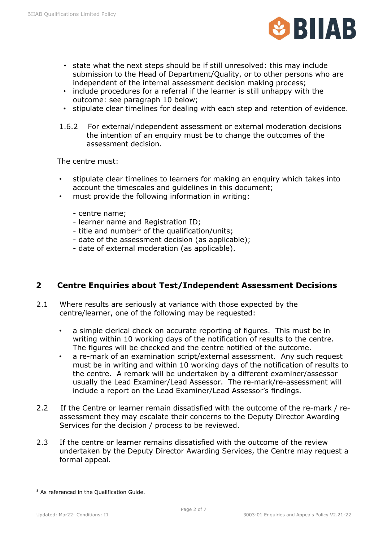

- state what the next steps should be if still unresolved: this may include submission to the Head of Department/Quality, or to other persons who are independent of the internal assessment decision making process;
- include procedures for a referral if the learner is still unhappy with the outcome: see paragraph 10 below;
- stipulate clear timelines for dealing with each step and retention of evidence.
- 1.6.2 For external/independent assessment or external moderation decisions the intention of an enquiry must be to change the outcomes of the assessment decision.

The centre must:

- stipulate clear timelines to learners for making an enquiry which takes into account the timescales and guidelines in this document;
- must provide the following information in writing:
	- centre name;
	- learner name and Registration ID;
	- title and number<sup>[5](#page-1-0)</sup> of the qualification/units;
	- date of the assessment decision (as applicable);
	- date of external moderation (as applicable).

#### **2 Centre Enquiries about Test/Independent Assessment Decisions**

- 2.1 Where results are seriously at variance with those expected by the centre/learner, one of the following may be requested:
	- a simple clerical check on accurate reporting of figures. This must be in writing within 10 working days of the notification of results to the centre. The figures will be checked and the centre notified of the outcome.
	- a re-mark of an examination script/external assessment. Any such request must be in writing and within 10 working days of the notification of results to the centre. A remark will be undertaken by a different examiner/assessor usually the Lead Examiner/Lead Assessor. The re-mark/re-assessment will include a report on the Lead Examiner/Lead Assessor's findings.
- 2.2 If the Centre or learner remain dissatisfied with the outcome of the re-mark / reassessment they may escalate their concerns to the Deputy Director Awarding Services for the decision / process to be reviewed.
- 2.3 If the centre or learner remains dissatisfied with the outcome of the review undertaken by the Deputy Director Awarding Services, the Centre may request a formal appeal.

<span id="page-1-0"></span><sup>&</sup>lt;sup>5</sup> As referenced in the Oualification Guide.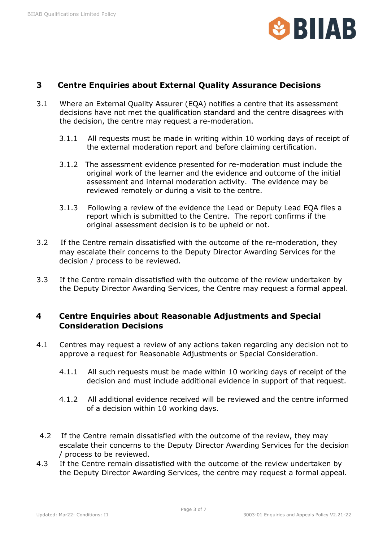

#### **3 Centre Enquiries about External Quality Assurance Decisions**

- 3.1 Where an External Quality Assurer (EQA) notifies a centre that its assessment decisions have not met the qualification standard and the centre disagrees with the decision, the centre may request a re-moderation.
	- 3.1.1 All requests must be made in writing within 10 working days of receipt of the external moderation report and before claiming certification.
	- 3.1.2 The assessment evidence presented for re-moderation must include the original work of the learner and the evidence and outcome of the initial assessment and internal moderation activity. The evidence may be reviewed remotely or during a visit to the centre.
	- 3.1.3 Following a review of the evidence the Lead or Deputy Lead EQA files a report which is submitted to the Centre. The report confirms if the original assessment decision is to be upheld or not.
- 3.2 If the Centre remain dissatisfied with the outcome of the re-moderation, they may escalate their concerns to the Deputy Director Awarding Services for the decision / process to be reviewed.
- 3.3 If the Centre remain dissatisfied with the outcome of the review undertaken by the Deputy Director Awarding Services, the Centre may request a formal appeal.

## **4 Centre Enquiries about Reasonable Adjustments and Special Consideration Decisions**

- 4.1 Centres may request a review of any actions taken regarding any decision not to approve a request for Reasonable Adjustments or Special Consideration.
	- 4.1.1 All such requests must be made within 10 working days of receipt of the decision and must include additional evidence in support of that request.
	- 4.1.2 All additional evidence received will be reviewed and the centre informed of a decision within 10 working days.
- 4.2 If the Centre remain dissatisfied with the outcome of the review, they may escalate their concerns to the Deputy Director Awarding Services for the decision / process to be reviewed.
- 4.3 If the Centre remain dissatisfied with the outcome of the review undertaken by the Deputy Director Awarding Services, the centre may request a formal appeal.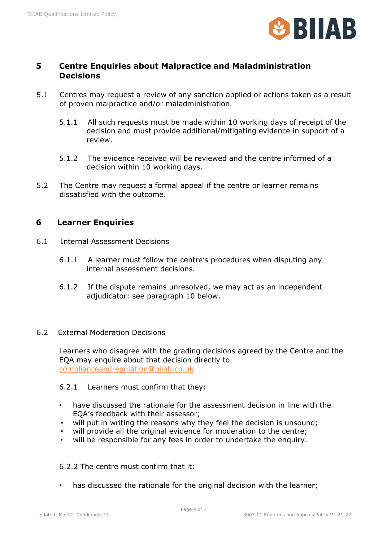

#### **5 Centre Enquiries about Malpractice and Maladministration Decisions**

- 5.1 Centres may request a review of any sanction applied or actions taken as a result of proven malpractice and/or maladministration.
	- 5.1.1 All such requests must be made within 10 working days of receipt of the decision and must provide additional/mitigating evidence in support of a review.
	- 5.1.2 The evidence received will be reviewed and the centre informed of a decision within 10 working days.
- 5.2 The Centre may request a formal appeal if the centre or learner remains dissatisfied with the outcome.

# **6 Learner Enquiries**

- 6.1 Internal Assessment Decisions
	- 6.1.1 A learner must follow the centre's procedures when disputing any internal assessment decisions.
	- 6.1.2 If the dispute remains unresolved, we may act as an independent adjudicator: see paragraph 10 below.

#### 6.2 External Moderation Decisions

Learners who disagree with the grading decisions agreed by the Centre and the EQA may enquire about that decision directly to [complianceandregulation@biiab.co.uk](mailto:complianceandregulation@biiab.co.uk)

#### 6.2.1 Learners must confirm that they:

- have discussed the rationale for the assessment decision in line with the EQA's feedback with their assessor;
- will put in writing the reasons why they feel the decision is unsound:
- will provide all the original evidence for moderation to the centre;
- will be responsible for any fees in order to undertake the enquiry.

#### 6.2.2 The centre must confirm that it:

has discussed the rationale for the original decision with the learner;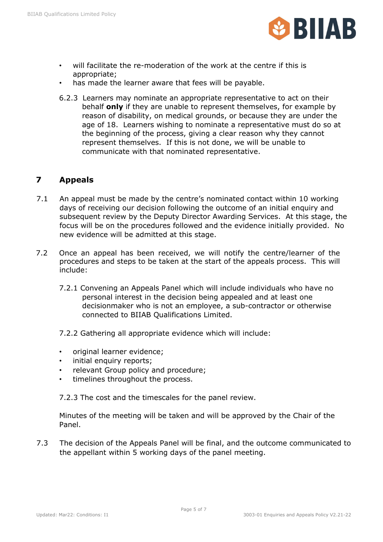

- will facilitate the re-moderation of the work at the centre if this is appropriate;
- has made the learner aware that fees will be payable.
- 6.2.3 Learners may nominate an appropriate representative to act on their behalf **only** if they are unable to represent themselves, for example by reason of disability, on medical grounds, or because they are under the age of 18. Learners wishing to nominate a representative must do so at the beginning of the process, giving a clear reason why they cannot represent themselves. If this is not done, we will be unable to communicate with that nominated representative.

# **7 Appeals**

- 7.1 An appeal must be made by the centre's nominated contact within 10 working days of receiving our decision following the outcome of an initial enquiry and subsequent review by the Deputy Director Awarding Services. At this stage, the focus will be on the procedures followed and the evidence initially provided. No new evidence will be admitted at this stage.
- 7.2 Once an appeal has been received, we will notify the centre/learner of the procedures and steps to be taken at the start of the appeals process. This will include:
	- 7.2.1 Convening an Appeals Panel which will include individuals who have no personal interest in the decision being appealed and at least one decisionmaker who is not an employee, a sub-contractor or otherwise connected to BIIAB Qualifications Limited.
	- 7.2.2 Gathering all appropriate evidence which will include:
	- original learner evidence;
	- initial enquiry reports;
	- relevant Group policy and procedure;
	- timelines throughout the process.

7.2.3 The cost and the timescales for the panel review.

Minutes of the meeting will be taken and will be approved by the Chair of the Panel.

7.3 The decision of the Appeals Panel will be final, and the outcome communicated to the appellant within 5 working days of the panel meeting.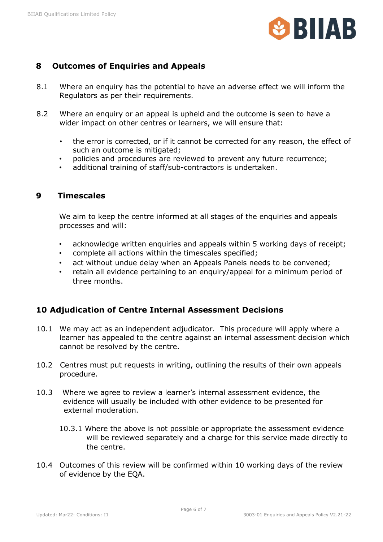

# **8 Outcomes of Enquiries and Appeals**

- 8.1 Where an enquiry has the potential to have an adverse effect we will inform the Regulators as per their requirements.
- 8.2 Where an enquiry or an appeal is upheld and the outcome is seen to have a wider impact on other centres or learners, we will ensure that:
	- the error is corrected, or if it cannot be corrected for any reason, the effect of such an outcome is mitigated;
	- policies and procedures are reviewed to prevent any future recurrence;
	- additional training of staff/sub-contractors is undertaken.

#### **9 Timescales**

We aim to keep the centre informed at all stages of the enquiries and appeals processes and will:

- acknowledge written enquiries and appeals within 5 working days of receipt;
- complete all actions within the timescales specified;
- act without undue delay when an Appeals Panels needs to be convened;
- retain all evidence pertaining to an enquiry/appeal for a minimum period of three months.

## **10 Adjudication of Centre Internal Assessment Decisions**

- 10.1 We may act as an independent adjudicator. This procedure will apply where a learner has appealed to the centre against an internal assessment decision which cannot be resolved by the centre.
- 10.2 Centres must put requests in writing, outlining the results of their own appeals procedure.
- 10.3 Where we agree to review a learner's internal assessment evidence, the evidence will usually be included with other evidence to be presented for external moderation.
	- 10.3.1 Where the above is not possible or appropriate the assessment evidence will be reviewed separately and a charge for this service made directly to the centre.
- 10.4 Outcomes of this review will be confirmed within 10 working days of the review of evidence by the EQA.